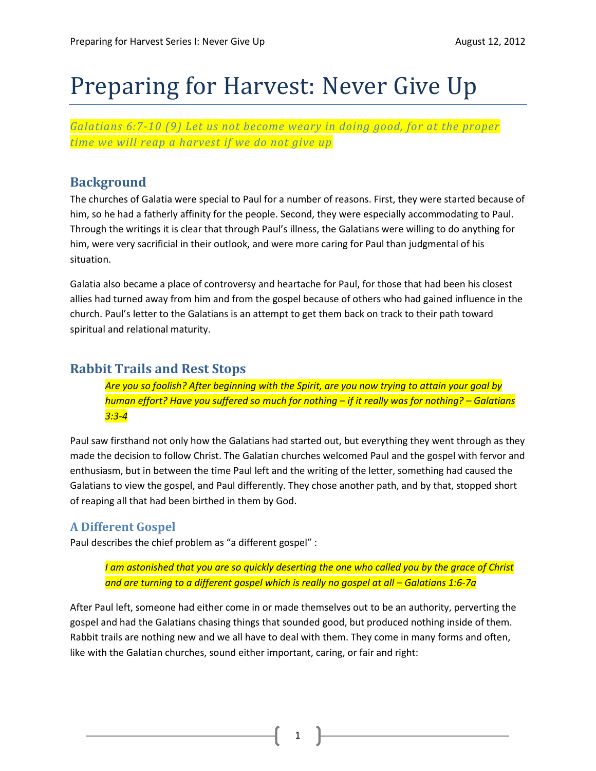# Preparing for Harvest: Never Give Up

*Galatians 6:7-10 (9) Let us not become weary in doing good, for at the proper time we will reap a harvest if we do not give up*

#### **Background**

The churches of Galatia were special to Paul for a number of reasons. First, they were started because of him, so he had a fatherly affinity for the people. Second, they were especially accommodating to Paul. Through the writings it is clear that through Paul's illness, the Galatians were willing to do anything for him, were very sacrificial in their outlook, and were more caring for Paul than judgmental of his situation.

Galatia also became a place of controversy and heartache for Paul, for those that had been his closest allies had turned away from him and from the gospel because of others who had gained influence in the church. Paul's letter to the Galatians is an attempt to get them back on track to their path toward spiritual and relational maturity.

#### **Rabbit Trails and Rest Stops**

*Are you so foolish? After beginning with the Spirit, are you now trying to attain your goal by human effort? Have you suffered so much for nothing – if it really was for nothing? – Galatians 3:3-4*

Paul saw firsthand not only how the Galatians had started out, but everything they went through as they made the decision to follow Christ. The Galatian churches welcomed Paul and the gospel with fervor and enthusiasm, but in between the time Paul left and the writing of the letter, something had caused the Galatians to view the gospel, and Paul differently. They chose another path, and by that, stopped short of reaping all that had been birthed in them by God.

#### **A Different Gospel**

Paul describes the chief problem as "a different gospel" :

*I am astonished that you are so quickly deserting the one who called you by the grace of Christ and are turning to a different gospel which is really no gospel at all – Galatians 1:6-7a* 

After Paul left, someone had either come in or made themselves out to be an authority, perverting the gospel and had the Galatians chasing things that sounded good, but produced nothing inside of them. Rabbit trails are nothing new and we all have to deal with them. They come in many forms and often, like with the Galatian churches, sound either important, caring, or fair and right:

1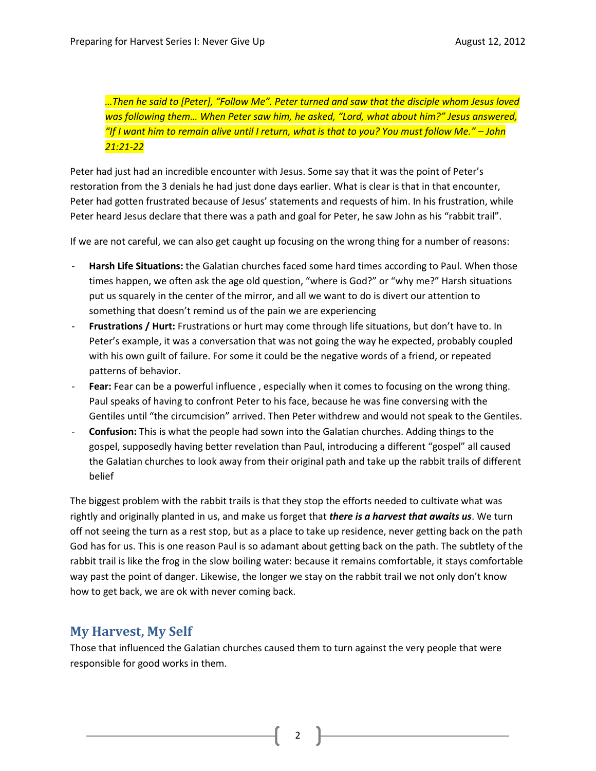*…Then he said to [Peter], "Follow Me". Peter turned and saw that the disciple whom Jesus loved was following them… When Peter saw him, he asked, "Lord, what about him?" Jesus answered, "If I want him to remain alive until I return, what is that to you? You must follow Me." – John 21:21-22*

Peter had just had an incredible encounter with Jesus. Some say that it was the point of Peter's restoration from the 3 denials he had just done days earlier. What is clear is that in that encounter, Peter had gotten frustrated because of Jesus' statements and requests of him. In his frustration, while Peter heard Jesus declare that there was a path and goal for Peter, he saw John as his "rabbit trail".

If we are not careful, we can also get caught up focusing on the wrong thing for a number of reasons:

- Harsh Life Situations: the Galatian churches faced some hard times according to Paul. When those times happen, we often ask the age old question, "where is God?" or "why me?" Harsh situations put us squarely in the center of the mirror, and all we want to do is divert our attention to something that doesn't remind us of the pain we are experiencing
- **Frustrations / Hurt:** Frustrations or hurt may come through life situations, but don't have to. In Peter's example, it was a conversation that was not going the way he expected, probably coupled with his own guilt of failure. For some it could be the negative words of a friend, or repeated patterns of behavior.
- **Fear:** Fear can be a powerful influence, especially when it comes to focusing on the wrong thing. Paul speaks of having to confront Peter to his face, because he was fine conversing with the Gentiles until "the circumcision" arrived. Then Peter withdrew and would not speak to the Gentiles.
- **Confusion:** This is what the people had sown into the Galatian churches. Adding things to the gospel, supposedly having better revelation than Paul, introducing a different "gospel" all caused the Galatian churches to look away from their original path and take up the rabbit trails of different belief

The biggest problem with the rabbit trails is that they stop the efforts needed to cultivate what was rightly and originally planted in us, and make us forget that *there is a harvest that awaits us*. We turn off not seeing the turn as a rest stop, but as a place to take up residence, never getting back on the path God has for us. This is one reason Paul is so adamant about getting back on the path. The subtlety of the rabbit trail is like the frog in the slow boiling water: because it remains comfortable, it stays comfortable way past the point of danger. Likewise, the longer we stay on the rabbit trail we not only don't know how to get back, we are ok with never coming back.

## **My Harvest, My Self**

Those that influenced the Galatian churches caused them to turn against the very people that were responsible for good works in them.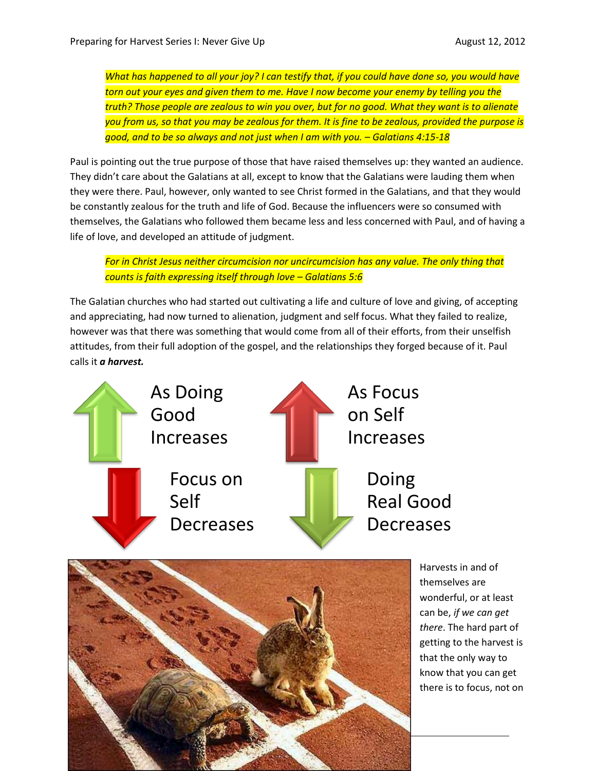*What has happened to all your joy? I can testify that, if you could have done so, you would have torn out your eyes and given them to me. Have I now become your enemy by telling you the truth? Those people are zealous to win you over, but for no good. What they want is to alienate you from us, so that you may be zealous for them. It is fine to be zealous, provided the purpose is good, and to be so always and not just when I am with you. – Galatians 4:15-18*

Paul is pointing out the true purpose of those that have raised themselves up: they wanted an audience. They didn't care about the Galatians at all, except to know that the Galatians were lauding them when they were there. Paul, however, only wanted to see Christ formed in the Galatians, and that they would be constantly zealous for the truth and life of God. Because the influencers were so consumed with themselves, the Galatians who followed them became less and less concerned with Paul, and of having a life of love, and developed an attitude of judgment.

*For in Christ Jesus neither circumcision nor uncircumcision has any value. The only thing that counts is faith expressing itself through love – Galatians 5:6*

The Galatian churches who had started out cultivating a life and culture of love and giving, of accepting and appreciating, had now turned to alienation, judgment and self focus. What they failed to realize, however was that there was something that would come from all of their efforts, from their unselfish attitudes, from their full adoption of the gospel, and the relationships they forged because of it. Paul calls it *a harvest.*





Harvests in and of themselves are wonderful, or at least can be, *if we can get there*. The hard part of getting to the harvest is that the only way to know that you can get there is to focus, not on